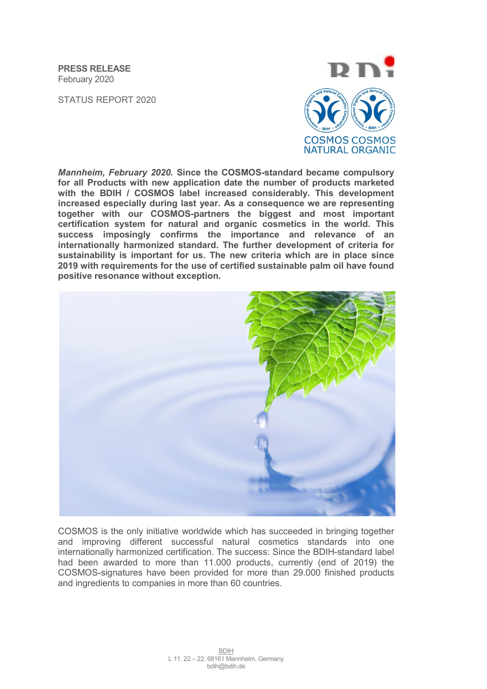PRESS RELEASE February 2020

STATUS REPORT 2020



Mannheim, February 2020. Since the COSMOS-standard became compulsory for all Products with new application date the number of products marketed with the BDIH / COSMOS label increased considerably. This development increased especially during last year. As a consequence we are representing together with our COSMOS-partners the biggest and most important certification system for natural and organic cosmetics in the world. This success imposingly confirms the importance and relevance of an internationally harmonized standard. The further development of criteria for sustainability is important for us. The new criteria which are in place since 2019 with requirements for the use of certified sustainable palm oil have found positive resonance without exception.



COSMOS is the only initiative worldwide which has succeeded in bringing together and improving different successful natural cosmetics standards into one internationally harmonized certification. The success: Since the BDIH-standard label had been awarded to more than 11.000 products, currently (end of 2019) the COSMOS-signatures have been provided for more than 29.000 finished products and ingredients to companies in more than 60 countries.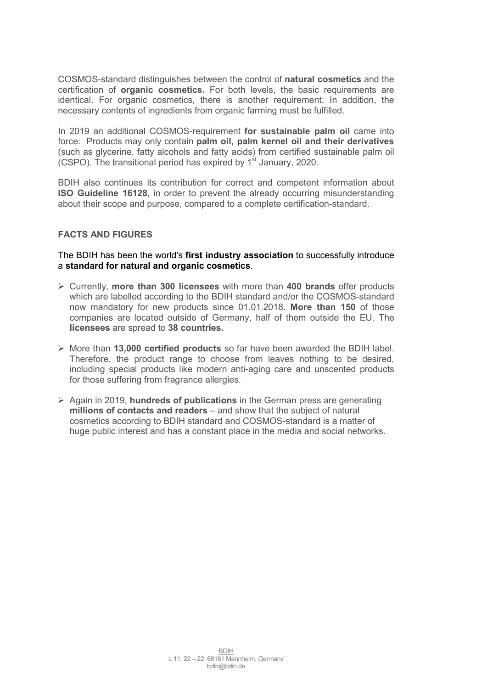COSMOS-standard distinguishes between the control of natural cosmetics and the certification of **organic cosmetics**. For both levels, the basic requirements are identical. For organic cosmetics, there is another requirement: In addition, the necessary contents of ingredients from organic farming must be fulfilled.

In 2019 an additional COSMOS-requirement for sustainable palm oil came into force: Products may only contain palm oil, palm kernel oil and their derivatives (such as glycerine, fatty alcohols and fatty acids) from certified sustainable palm oil (CSPO). The transitional period has expired by  $1<sup>st</sup>$  January, 2020.

BDIH also continues its contribution for correct and competent information about ISO Guideline 16128, in order to prevent the already occurring misunderstanding about their scope and purpose, compared to a complete certification-standard.

## FACTS AND FIGURES

## The BDIH has been the world's first industry association to successfully introduce a standard for natural and organic cosmetics.

- $\triangleright$  Currently, more than 300 licensees with more than 400 brands offer products which are labelled according to the BDIH standard and/or the COSMOS-standard now mandatory for new products since 01.01.2018. More than 150 of those companies are located outside of Germany, half of them outside the EU. The licensees are spread to 38 countries.
- $\triangleright$  More than 13,000 certified products so far have been awarded the BDIH label. Therefore, the product range to choose from leaves nothing to be desired, including special products like modern anti-aging care and unscented products for those suffering from fragrance allergies.
- $\geq$  Again in 2019, **hundreds of publications** in the German press are generating millions of contacts and readers – and show that the subject of natural cosmetics according to BDIH standard and COSMOS-standard is a matter of huge public interest and has a constant place in the media and social networks.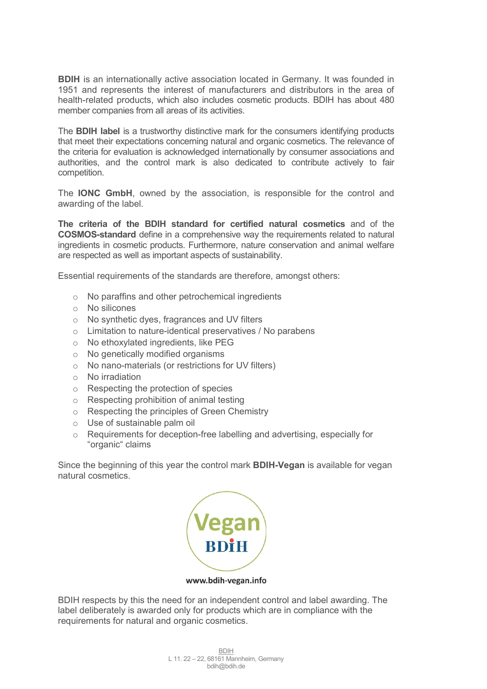BDIH is an internationally active association located in Germany. It was founded in 1951 and represents the interest of manufacturers and distributors in the area of health-related products, which also includes cosmetic products. BDIH has about 480 member companies from all areas of its activities.

The **BDIH label** is a trustworthy distinctive mark for the consumers identifying products that meet their expectations concerning natural and organic cosmetics. The relevance of the criteria for evaluation is acknowledged internationally by consumer associations and authorities, and the control mark is also dedicated to contribute actively to fair competition.

The IONC GmbH, owned by the association, is responsible for the control and awarding of the label.

The criteria of the BDIH standard for certified natural cosmetics and of the COSMOS-standard define in a comprehensive way the requirements related to natural ingredients in cosmetic products. Furthermore, nature conservation and animal welfare are respected as well as important aspects of sustainability.

Essential requirements of the standards are therefore, amongst others:

- o No paraffins and other petrochemical ingredients
- o No silicones
- o No synthetic dyes, fragrances and UV filters
- o Limitation to nature-identical preservatives / No parabens
- o No ethoxylated ingredients, like PEG
- o No genetically modified organisms
- o No nano-materials (or restrictions for UV filters)
- o No irradiation
- o Respecting the protection of species
- o Respecting prohibition of animal testing
- o Respecting the principles of Green Chemistry
- o Use of sustainable palm oil
- o Requirements for deception-free labelling and advertising, especially for "organic" claims

Since the beginning of this year the control mark **BDIH-Vegan** is available for yegan natural cosmetics.



www.bdih-vegan.info

BDIH respects by this the need for an independent control and label awarding. The label deliberately is awarded only for products which are in compliance with the requirements for natural and organic cosmetics.